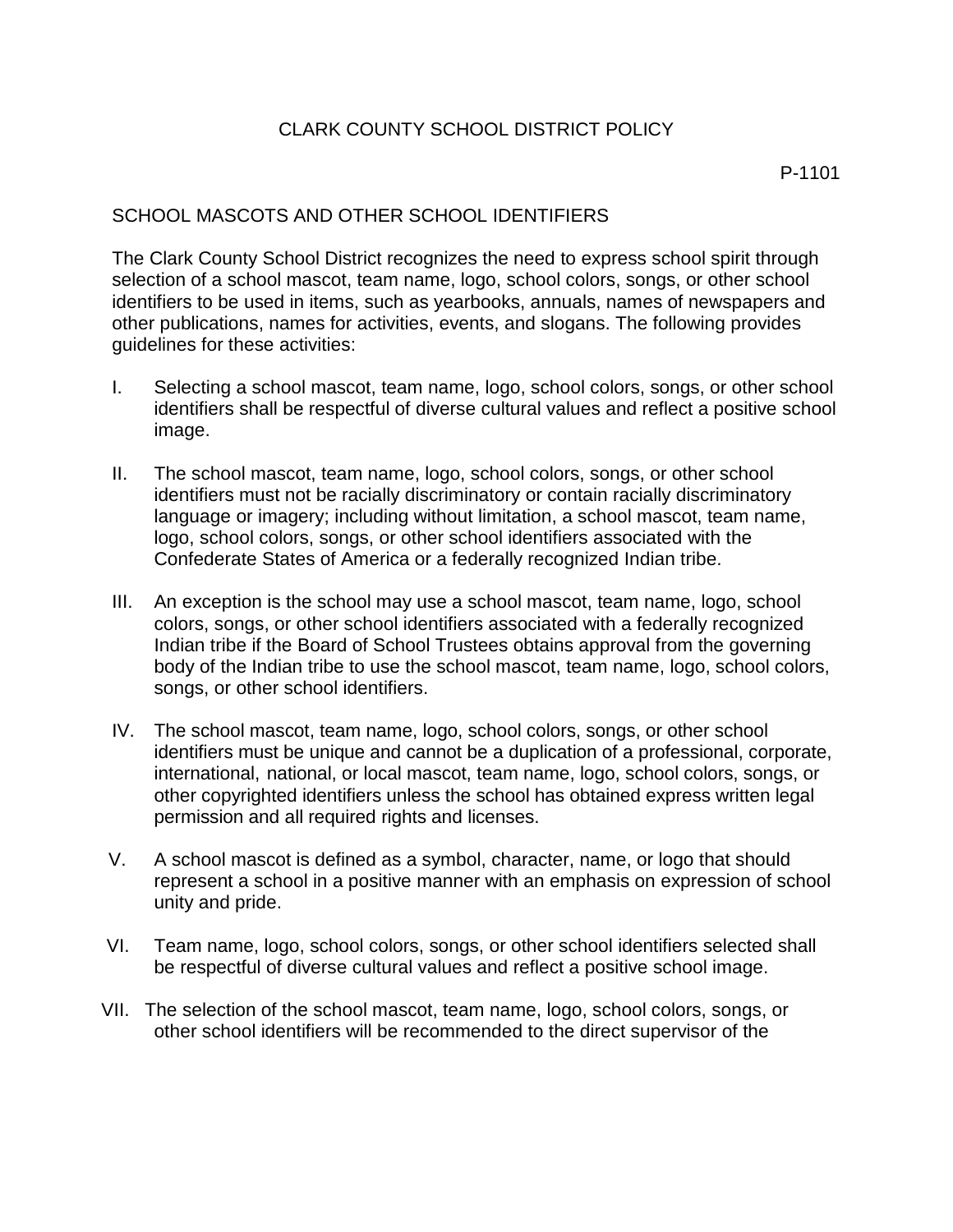## CLARK COUNTY SCHOOL DISTRICT POLICY

## SCHOOL MASCOTS AND OTHER SCHOOL IDENTIFIERS

The Clark County School District recognizes the need to express school spirit through selection of a school mascot, team name, logo, school colors, songs, or other school identifiers to be used in items, such as yearbooks, annuals, names of newspapers and other publications, names for activities, events, and slogans. The following provides guidelines for these activities:

- I. Selecting a school mascot, team name, logo, school colors, songs, or other school identifiers shall be respectful of diverse cultural values and reflect a positive school image.
- II. The school mascot, team name, logo, school colors, songs, or other school identifiers must not be racially discriminatory or contain racially discriminatory language or imagery; including without limitation, a school mascot, team name, logo, school colors, songs, or other school identifiers associated with the Confederate States of America or a federally recognized Indian tribe.
- III. An exception is the school may use a school mascot, team name, logo, school colors, songs, or other school identifiers associated with a federally recognized Indian tribe if the Board of School Trustees obtains approval from the governing body of the Indian tribe to use the school mascot, team name, logo, school colors, songs, or other school identifiers.
- IV. The school mascot, team name, logo, school colors, songs, or other school identifiers must be unique and cannot be a duplication of a professional, corporate, international, national, or local mascot, team name, logo, school colors, songs, or other copyrighted identifiers unless the school has obtained express written legal permission and all required rights and licenses.
- V. A school mascot is defined as a symbol, character, name, or logo that should represent a school in a positive manner with an emphasis on expression of school unity and pride.
- VI. Team name, logo, school colors, songs, or other school identifiers selected shall be respectful of diverse cultural values and reflect a positive school image.
- VII. The selection of the school mascot, team name, logo, school colors, songs, or other school identifiers will be recommended to the direct supervisor of the